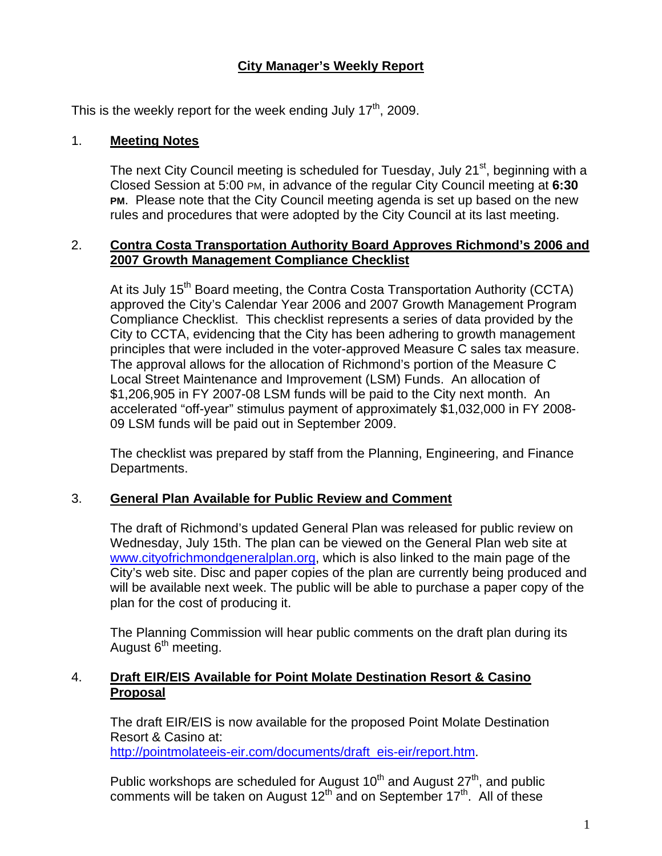# **City Manager's Weekly Report**

This is the weekly report for the week ending July  $17<sup>th</sup>$ , 2009.

### 1. **Meeting Notes**

The next City Council meeting is scheduled for Tuesday, July 21<sup>st</sup>, beginning with a Closed Session at 5:00 PM, in advance of the regular City Council meeting at **6:30 PM**. Please note that the City Council meeting agenda is set up based on the new rules and procedures that were adopted by the City Council at its last meeting.

#### 2. **Contra Costa Transportation Authority Board Approves Richmond's 2006 and 2007 Growth Management Compliance Checklist**

At its July 15<sup>th</sup> Board meeting, the Contra Costa Transportation Authority (CCTA) approved the City's Calendar Year 2006 and 2007 Growth Management Program Compliance Checklist. This checklist represents a series of data provided by the City to CCTA, evidencing that the City has been adhering to growth management principles that were included in the voter-approved Measure C sales tax measure. The approval allows for the allocation of Richmond's portion of the Measure C Local Street Maintenance and Improvement (LSM) Funds. An allocation of \$1,206,905 in FY 2007-08 LSM funds will be paid to the City next month. An accelerated "off-year" stimulus payment of approximately \$1,032,000 in FY 2008- 09 LSM funds will be paid out in September 2009.

The checklist was prepared by staff from the Planning, Engineering, and Finance Departments.

#### 3. **General Plan Available for Public Review and Comment**

The draft of Richmond's updated General Plan was released for public review on Wednesday, July 15th. The plan can be viewed on the General Plan web site at [www.cityofrichmondgeneralplan.org](http://www.cityofrichmondgeneralplan.org/), which is also linked to the main page of the City's web site. Disc and paper copies of the plan are currently being produced and will be available next week. The public will be able to purchase a paper copy of the plan for the cost of producing it.

The Planning Commission will hear public comments on the draft plan during its August 6<sup>th</sup> meeting.

### 4. **Draft EIR/EIS Available for Point Molate Destination Resort & Casino Proposal**

The draft EIR/EIS is now available for the proposed Point Molate Destination Resort & Casino at: [http://pointmolateeis-eir.com/documents/draft\\_eis-eir/report.htm.](http://pointmolateeis-eir.com/documents/draft_eis-eir/report.htm)

Public workshops are scheduled for August  $10<sup>th</sup>$  and August  $27<sup>th</sup>$ , and public comments will be taken on August  $12<sup>th</sup>$  and on September  $17<sup>th</sup>$ . All of these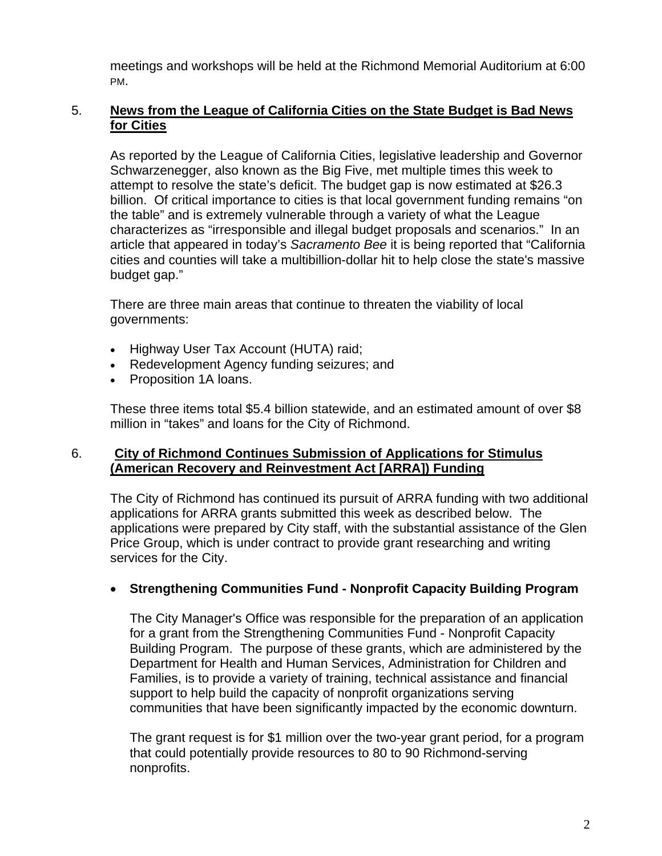meetings and workshops will be held at the Richmond Memorial Auditorium at 6:00 PM.

### 5. **News from the League of California Cities on the State Budget is Bad News for Cities**

As reported by the League of California Cities, legislative leadership and Governor Schwarzenegger, also known as the Big Five, met multiple times this week to attempt to resolve the state's deficit. The budget gap is now estimated at \$26.3 billion. Of critical importance to cities is that local government funding remains "on the table" and is extremely vulnerable through a variety of what the League characterizes as "irresponsible and illegal budget proposals and scenarios." In an article that appeared in today's *Sacramento Bee* it is being reported that "California cities and counties will take a multibillion-dollar hit to help close the state's massive budget gap."

There are three main areas that continue to threaten the viability of local governments:

- Highway User Tax Account (HUTA) raid;
- Redevelopment Agency funding seizures; and
- Proposition 1A loans.

These three items total \$5.4 billion statewide, and an estimated amount of over \$8 million in "takes" and loans for the City of Richmond.

### 6. **City of Richmond Continues Submission of Applications for Stimulus (American Recovery and Reinvestment Act [ARRA]) Funding**

The City of Richmond has continued its pursuit of ARRA funding with two additional applications for ARRA grants submitted this week as described below. The applications were prepared by City staff, with the substantial assistance of the Glen Price Group, which is under contract to provide grant researching and writing services for the City.

## **Strengthening Communities Fund - Nonprofit Capacity Building Program**

The City Manager's Office was responsible for the preparation of an application for a grant from the Strengthening Communities Fund - Nonprofit Capacity Building Program. The purpose of these grants, which are administered by the Department for Health and Human Services, Administration for Children and Families, is to provide a variety of training, technical assistance and financial support to help build the capacity of nonprofit organizations serving communities that have been significantly impacted by the economic downturn.

The grant request is for \$1 million over the two-year grant period, for a program that could potentially provide resources to 80 to 90 Richmond-serving nonprofits.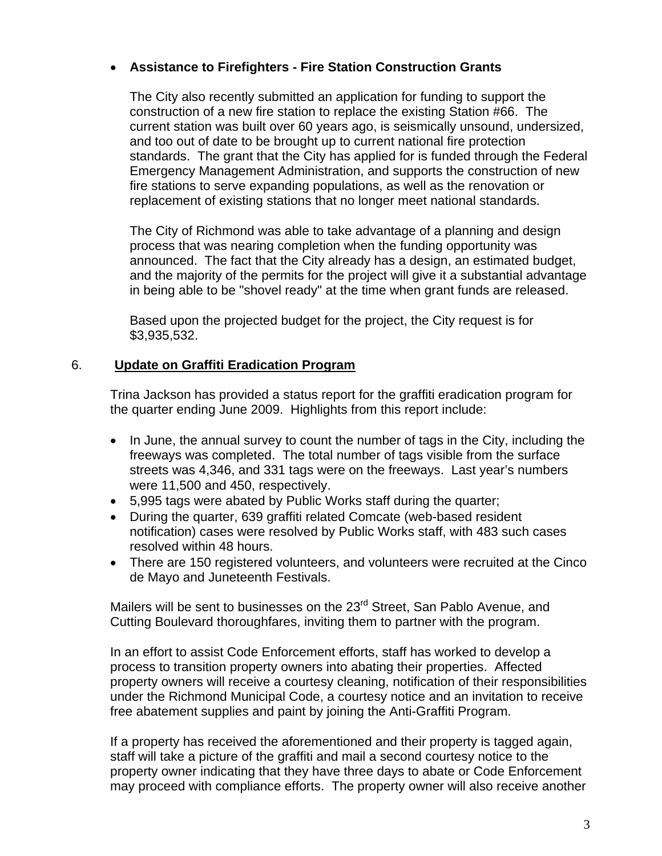## **Assistance to Firefighters - Fire Station Construction Grants**

The City also recently submitted an application for funding to support the construction of a new fire station to replace the existing Station #66. The current station was built over 60 years ago, is seismically unsound, undersized, and too out of date to be brought up to current national fire protection standards. The grant that the City has applied for is funded through the Federal Emergency Management Administration, and supports the construction of new fire stations to serve expanding populations, as well as the renovation or replacement of existing stations that no longer meet national standards.

The City of Richmond was able to take advantage of a planning and design process that was nearing completion when the funding opportunity was announced. The fact that the City already has a design, an estimated budget, and the majority of the permits for the project will give it a substantial advantage in being able to be "shovel ready" at the time when grant funds are released.

Based upon the projected budget for the project, the City request is for \$3,935,532.

# 6. **Update on Graffiti Eradication Program**

Trina Jackson has provided a status report for the graffiti eradication program for the quarter ending June 2009. Highlights from this report include:

- In June, the annual survey to count the number of tags in the City, including the freeways was completed. The total number of tags visible from the surface streets was 4,346, and 331 tags were on the freeways. Last year's numbers were 11,500 and 450, respectively.
- 5,995 tags were abated by Public Works staff during the quarter;
- During the quarter, 639 graffiti related Comcate (web-based resident notification) cases were resolved by Public Works staff, with 483 such cases resolved within 48 hours.
- There are 150 registered volunteers, and volunteers were recruited at the Cinco de Mayo and Juneteenth Festivals.

Mailers will be sent to businesses on the 23<sup>rd</sup> Street, San Pablo Avenue, and Cutting Boulevard thoroughfares, inviting them to partner with the program.

In an effort to assist Code Enforcement efforts, staff has worked to develop a process to transition property owners into abating their properties. Affected property owners will receive a courtesy cleaning, notification of their responsibilities under the Richmond Municipal Code, a courtesy notice and an invitation to receive free abatement supplies and paint by joining the Anti-Graffiti Program.

If a property has received the aforementioned and their property is tagged again, staff will take a picture of the graffiti and mail a second courtesy notice to the property owner indicating that they have three days to abate or Code Enforcement may proceed with compliance efforts. The property owner will also receive another